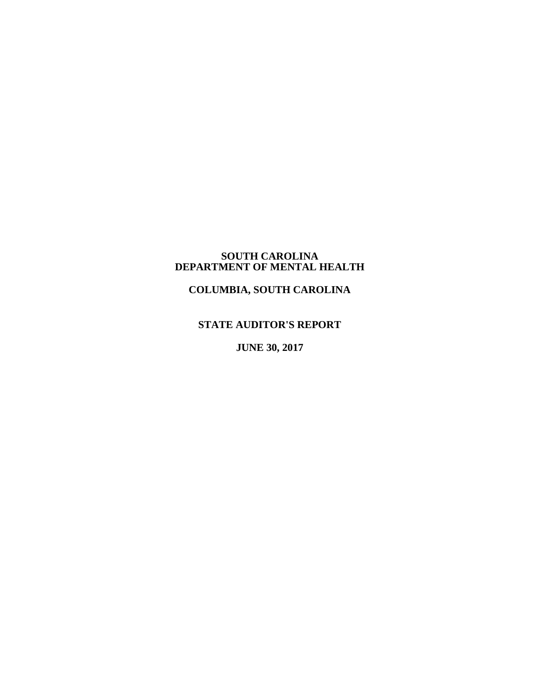#### **SOUTH CAROLINA DEPARTMENT OF MENTAL HEALTH**

**COLUMBIA, SOUTH CAROLINA**

## **STATE AUDITOR'S REPORT**

**JUNE 30, 2017**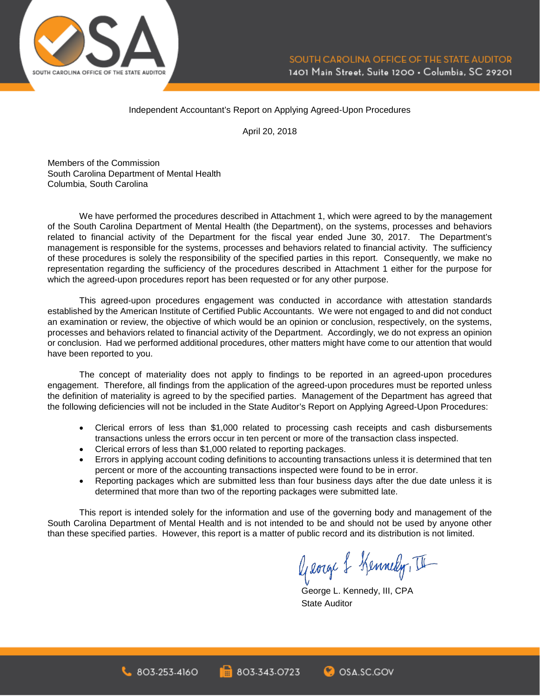

#### Independent Accountant's Report on Applying Agreed-Upon Procedures

April 20, 2018

Members of the Commission South Carolina Department of Mental Health Columbia, South Carolina

We have performed the procedures described in Attachment 1, which were agreed to by the management of the South Carolina Department of Mental Health (the Department), on the systems, processes and behaviors related to financial activity of the Department for the fiscal year ended June 30, 2017. The Department's management is responsible for the systems, processes and behaviors related to financial activity. The sufficiency of these procedures is solely the responsibility of the specified parties in this report. Consequently, we make no representation regarding the sufficiency of the procedures described in Attachment 1 either for the purpose for which the agreed-upon procedures report has been requested or for any other purpose.

This agreed-upon procedures engagement was conducted in accordance with attestation standards established by the American Institute of Certified Public Accountants. We were not engaged to and did not conduct an examination or review, the objective of which would be an opinion or conclusion, respectively, on the systems, processes and behaviors related to financial activity of the Department. Accordingly, we do not express an opinion or conclusion. Had we performed additional procedures, other matters might have come to our attention that would have been reported to you.

The concept of materiality does not apply to findings to be reported in an agreed-upon procedures engagement. Therefore, all findings from the application of the agreed-upon procedures must be reported unless the definition of materiality is agreed to by the specified parties. Management of the Department has agreed that the following deficiencies will not be included in the State Auditor's Report on Applying Agreed-Upon Procedures:

- Clerical errors of less than \$1,000 related to processing cash receipts and cash disbursements transactions unless the errors occur in ten percent or more of the transaction class inspected.
- Clerical errors of less than \$1,000 related to reporting packages.
- Errors in applying account coding definitions to accounting transactions unless it is determined that ten percent or more of the accounting transactions inspected were found to be in error.
- Reporting packages which are submitted less than four business days after the due date unless it is determined that more than two of the reporting packages were submitted late.

This report is intended solely for the information and use of the governing body and management of the South Carolina Department of Mental Health and is not intended to be and should not be used by anyone other than these specified parties. However, this report is a matter of public record and its distribution is not limited.

George & Kennedy, II

George L. Kennedy, III, CPA State Auditor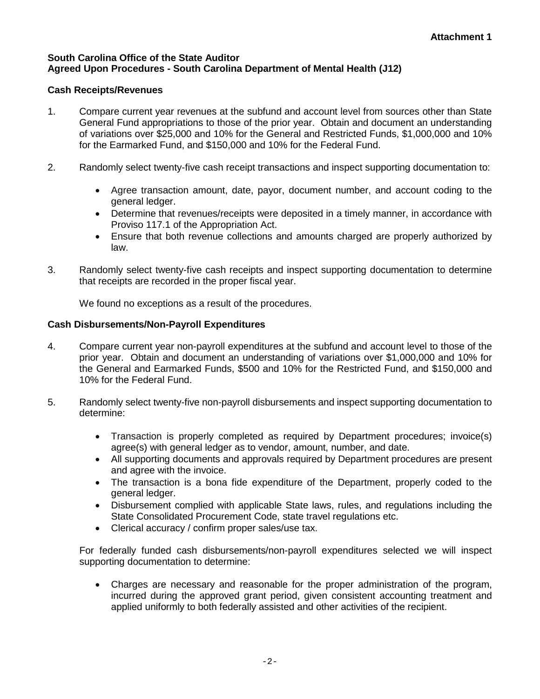### **South Carolina Office of the State Auditor Agreed Upon Procedures - South Carolina Department of Mental Health (J12)**

## **Cash Receipts/Revenues**

- 1. Compare current year revenues at the subfund and account level from sources other than State General Fund appropriations to those of the prior year. Obtain and document an understanding of variations over \$25,000 and 10% for the General and Restricted Funds, \$1,000,000 and 10% for the Earmarked Fund, and \$150,000 and 10% for the Federal Fund.
- 2. Randomly select twenty-five cash receipt transactions and inspect supporting documentation to:
	- Agree transaction amount, date, payor, document number, and account coding to the general ledger.
	- Determine that revenues/receipts were deposited in a timely manner, in accordance with Proviso 117.1 of the Appropriation Act.
	- Ensure that both revenue collections and amounts charged are properly authorized by law.
- 3. Randomly select twenty-five cash receipts and inspect supporting documentation to determine that receipts are recorded in the proper fiscal year.

We found no exceptions as a result of the procedures.

## **Cash Disbursements/Non-Payroll Expenditures**

- 4. Compare current year non-payroll expenditures at the subfund and account level to those of the prior year. Obtain and document an understanding of variations over \$1,000,000 and 10% for the General and Earmarked Funds, \$500 and 10% for the Restricted Fund, and \$150,000 and 10% for the Federal Fund.
- 5. Randomly select twenty-five non-payroll disbursements and inspect supporting documentation to determine:
	- Transaction is properly completed as required by Department procedures; invoice(s) agree(s) with general ledger as to vendor, amount, number, and date.
	- All supporting documents and approvals required by Department procedures are present and agree with the invoice.
	- The transaction is a bona fide expenditure of the Department, properly coded to the general ledger.
	- Disbursement complied with applicable State laws, rules, and regulations including the State Consolidated Procurement Code, state travel regulations etc.
	- Clerical accuracy / confirm proper sales/use tax.

For federally funded cash disbursements/non-payroll expenditures selected we will inspect supporting documentation to determine:

• Charges are necessary and reasonable for the proper administration of the program, incurred during the approved grant period, given consistent accounting treatment and applied uniformly to both federally assisted and other activities of the recipient.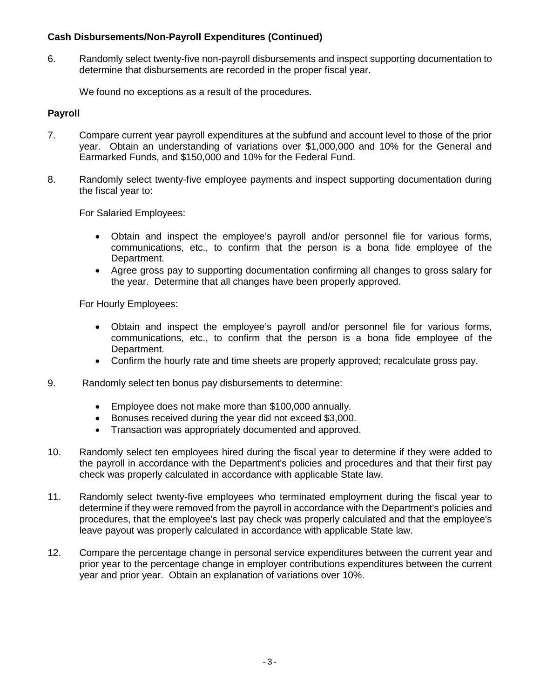## **Cash Disbursements/Non-Payroll Expenditures (Continued)**

6. Randomly select twenty-five non-payroll disbursements and inspect supporting documentation to determine that disbursements are recorded in the proper fiscal year.

We found no exceptions as a result of the procedures.

## **Payroll**

- 7. Compare current year payroll expenditures at the subfund and account level to those of the prior year. Obtain an understanding of variations over \$1,000,000 and 10% for the General and Earmarked Funds, and \$150,000 and 10% for the Federal Fund.
- 8. Randomly select twenty-five employee payments and inspect supporting documentation during the fiscal year to:

For Salaried Employees:

- Obtain and inspect the employee's payroll and/or personnel file for various forms, communications, etc., to confirm that the person is a bona fide employee of the Department.
- Agree gross pay to supporting documentation confirming all changes to gross salary for the year. Determine that all changes have been properly approved.

For Hourly Employees:

- Obtain and inspect the employee's payroll and/or personnel file for various forms, communications, etc., to confirm that the person is a bona fide employee of the Department.
- Confirm the hourly rate and time sheets are properly approved; recalculate gross pay.
- 9. Randomly select ten bonus pay disbursements to determine:
	- Employee does not make more than \$100,000 annually.
	- Bonuses received during the year did not exceed \$3,000.
	- Transaction was appropriately documented and approved.
- 10. Randomly select ten employees hired during the fiscal year to determine if they were added to the payroll in accordance with the Department's policies and procedures and that their first pay check was properly calculated in accordance with applicable State law.
- 11. Randomly select twenty-five employees who terminated employment during the fiscal year to determine if they were removed from the payroll in accordance with the Department's policies and procedures, that the employee's last pay check was properly calculated and that the employee's leave payout was properly calculated in accordance with applicable State law.
- 12. Compare the percentage change in personal service expenditures between the current year and prior year to the percentage change in employer contributions expenditures between the current year and prior year. Obtain an explanation of variations over 10%.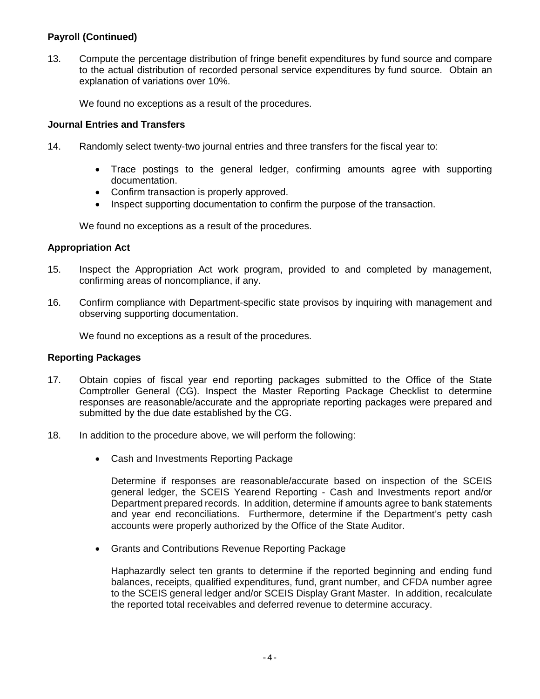# **Payroll (Continued)**

13. Compute the percentage distribution of fringe benefit expenditures by fund source and compare to the actual distribution of recorded personal service expenditures by fund source. Obtain an explanation of variations over 10%.

We found no exceptions as a result of the procedures.

### **Journal Entries and Transfers**

- 14. Randomly select twenty-two journal entries and three transfers for the fiscal year to:
	- Trace postings to the general ledger, confirming amounts agree with supporting documentation.
	- Confirm transaction is properly approved.
	- Inspect supporting documentation to confirm the purpose of the transaction.

We found no exceptions as a result of the procedures.

### **Appropriation Act**

- 15. Inspect the Appropriation Act work program, provided to and completed by management, confirming areas of noncompliance, if any.
- 16. Confirm compliance with Department-specific state provisos by inquiring with management and observing supporting documentation.

We found no exceptions as a result of the procedures.

#### **Reporting Packages**

- 17. Obtain copies of fiscal year end reporting packages submitted to the Office of the State Comptroller General (CG). Inspect the Master Reporting Package Checklist to determine responses are reasonable/accurate and the appropriate reporting packages were prepared and submitted by the due date established by the CG.
- 18. In addition to the procedure above, we will perform the following:
	- Cash and Investments Reporting Package

Determine if responses are reasonable/accurate based on inspection of the SCEIS general ledger, the SCEIS Yearend Reporting - Cash and Investments report and/or Department prepared records. In addition, determine if amounts agree to bank statements and year end reconciliations. Furthermore, determine if the Department's petty cash accounts were properly authorized by the Office of the State Auditor.

• Grants and Contributions Revenue Reporting Package

Haphazardly select ten grants to determine if the reported beginning and ending fund balances, receipts, qualified expenditures, fund, grant number, and CFDA number agree to the SCEIS general ledger and/or SCEIS Display Grant Master. In addition, recalculate the reported total receivables and deferred revenue to determine accuracy.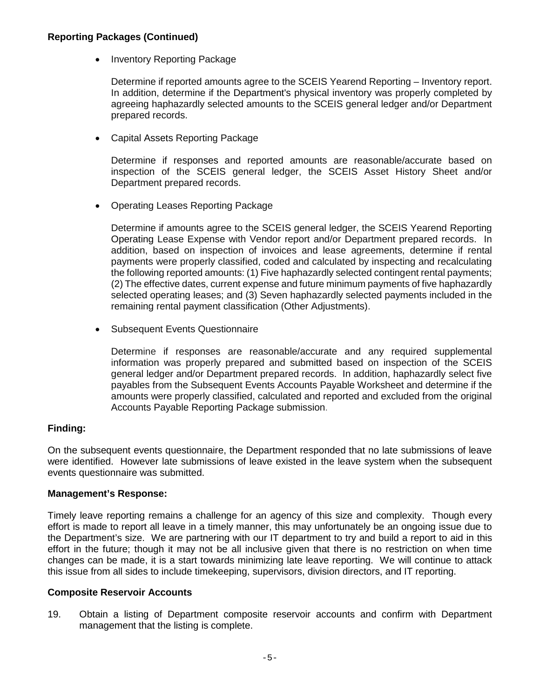### **Reporting Packages (Continued)**

• Inventory Reporting Package

Determine if reported amounts agree to the SCEIS Yearend Reporting – Inventory report. In addition, determine if the Department's physical inventory was properly completed by agreeing haphazardly selected amounts to the SCEIS general ledger and/or Department prepared records.

• Capital Assets Reporting Package

Determine if responses and reported amounts are reasonable/accurate based on inspection of the SCEIS general ledger, the SCEIS Asset History Sheet and/or Department prepared records.

• Operating Leases Reporting Package

Determine if amounts agree to the SCEIS general ledger, the SCEIS Yearend Reporting Operating Lease Expense with Vendor report and/or Department prepared records. In addition, based on inspection of invoices and lease agreements, determine if rental payments were properly classified, coded and calculated by inspecting and recalculating the following reported amounts: (1) Five haphazardly selected contingent rental payments; (2) The effective dates, current expense and future minimum payments of five haphazardly selected operating leases; and (3) Seven haphazardly selected payments included in the remaining rental payment classification (Other Adjustments).

• Subsequent Events Questionnaire

Determine if responses are reasonable/accurate and any required supplemental information was properly prepared and submitted based on inspection of the SCEIS general ledger and/or Department prepared records. In addition, haphazardly select five payables from the Subsequent Events Accounts Payable Worksheet and determine if the amounts were properly classified, calculated and reported and excluded from the original Accounts Payable Reporting Package submission.

### **Finding:**

On the subsequent events questionnaire, the Department responded that no late submissions of leave were identified. However late submissions of leave existed in the leave system when the subsequent events questionnaire was submitted.

#### **Management's Response:**

Timely leave reporting remains a challenge for an agency of this size and complexity. Though every effort is made to report all leave in a timely manner, this may unfortunately be an ongoing issue due to the Department's size. We are partnering with our IT department to try and build a report to aid in this effort in the future; though it may not be all inclusive given that there is no restriction on when time changes can be made, it is a start towards minimizing late leave reporting. We will continue to attack this issue from all sides to include timekeeping, supervisors, division directors, and IT reporting.

#### **Composite Reservoir Accounts**

19. Obtain a listing of Department composite reservoir accounts and confirm with Department management that the listing is complete.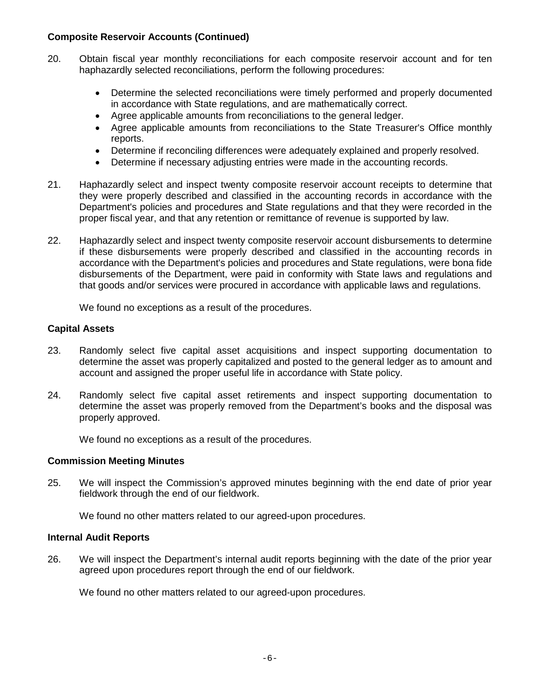### **Composite Reservoir Accounts (Continued)**

- 20. Obtain fiscal year monthly reconciliations for each composite reservoir account and for ten haphazardly selected reconciliations, perform the following procedures:
	- Determine the selected reconciliations were timely performed and properly documented in accordance with State regulations, and are mathematically correct.
	- Agree applicable amounts from reconciliations to the general ledger.
	- Agree applicable amounts from reconciliations to the State Treasurer's Office monthly reports.
	- Determine if reconciling differences were adequately explained and properly resolved.
	- Determine if necessary adjusting entries were made in the accounting records.
- 21. Haphazardly select and inspect twenty composite reservoir account receipts to determine that they were properly described and classified in the accounting records in accordance with the Department's policies and procedures and State regulations and that they were recorded in the proper fiscal year, and that any retention or remittance of revenue is supported by law.
- 22. Haphazardly select and inspect twenty composite reservoir account disbursements to determine if these disbursements were properly described and classified in the accounting records in accordance with the Department's policies and procedures and State regulations, were bona fide disbursements of the Department, were paid in conformity with State laws and regulations and that goods and/or services were procured in accordance with applicable laws and regulations.

We found no exceptions as a result of the procedures.

### **Capital Assets**

- 23. Randomly select five capital asset acquisitions and inspect supporting documentation to determine the asset was properly capitalized and posted to the general ledger as to amount and account and assigned the proper useful life in accordance with State policy.
- 24. Randomly select five capital asset retirements and inspect supporting documentation to determine the asset was properly removed from the Department's books and the disposal was properly approved.

We found no exceptions as a result of the procedures.

### **Commission Meeting Minutes**

25. We will inspect the Commission's approved minutes beginning with the end date of prior year fieldwork through the end of our fieldwork.

We found no other matters related to our agreed-upon procedures.

### **Internal Audit Reports**

26. We will inspect the Department's internal audit reports beginning with the date of the prior year agreed upon procedures report through the end of our fieldwork.

We found no other matters related to our agreed-upon procedures.